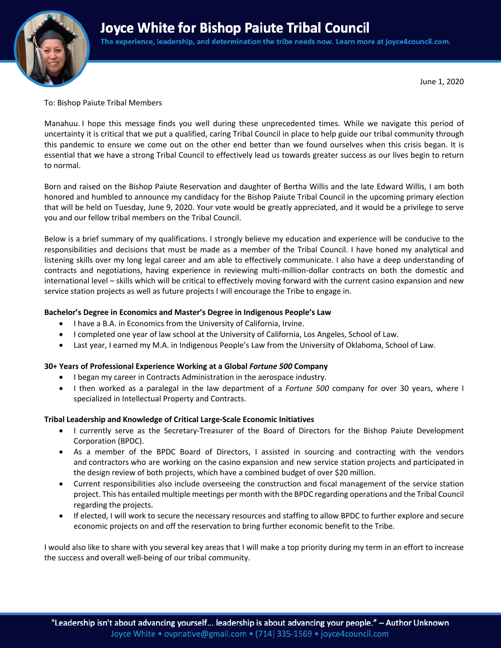# **Joyce White for Bishop Paiute Tribal Council**



The experience, leadership, and determination the tribe needs now. Learn more at joyce4council.com.

June 1, 2020

To: Bishop Paiute Tribal Members

Manahuu. I hope this message finds you well during these unprecedented times. While we navigate this period of uncertainty it is critical that we put a qualified, caring Tribal Council in place to help guide our tribal community through this pandemic to ensure we come out on the other end better than we found ourselves when this crisis began. It is essential that we have a strong Tribal Council to effectively lead us towards greater success as our lives begin to return to normal.

Born and raised on the Bishop Paiute Reservation and daughter of Bertha Willis and the late Edward Willis, I am both honored and humbled to announce my candidacy for the Bishop Paiute Tribal Council in the upcoming primary election that will be held on Tuesday, June 9, 2020. Your vote would be greatly appreciated, and it would be a privilege to serve you and our fellow tribal members on the Tribal Council.

Below is a brief summary of my qualifications. I strongly believe my education and experience will be conducive to the responsibilities and decisions that must be made as a member of the Tribal Council. I have honed my analytical and listening skills over my long legal career and am able to effectively communicate. I also have a deep understanding of contracts and negotiations, having experience in reviewing multi-million-dollar contracts on both the domestic and international level – skills which will be critical to effectively moving forward with the current casino expansion and new service station projects as well as future projects I will encourage the Tribe to engage in.

# **Bachelor's Degree in Economics and Master's Degree in Indigenous People's Law**

- I have a B.A. in Economics from the University of California, Irvine.
- I completed one year of law school at the University of California, Los Angeles, School of Law.
- Last year, I earned my M.A. in Indigenous People's Law from the University of Oklahoma, School of Law.

# **30+ Years of Professional Experience Working at a Global** *Fortune 500* **Company**

- I began my career in Contracts Administration in the aerospace industry.
- I then worked as a paralegal in the law department of a *Fortune 500* company for over 30 years, where I specialized in Intellectual Property and Contracts.

# **Tribal Leadership and Knowledge of Critical Large-Scale Economic Initiatives**

- I currently serve as the Secretary-Treasurer of the Board of Directors for the Bishop Paiute Development Corporation (BPDC).
- As a member of the BPDC Board of Directors, I assisted in sourcing and contracting with the vendors and contractors who are working on the casino expansion and new service station projects and participated in the design review of both projects, which have a combined budget of over \$20 million.
- Current responsibilities also include overseeing the construction and fiscal management of the service station project. This has entailed multiple meetings per month with the BPDC regarding operations and the Tribal Council regarding the projects.
- If elected, I will work to secure the necessary resources and staffing to allow BPDC to further explore and secure economic projects on and off the reservation to bring further economic benefit to the Tribe.

I would also like to share with you several key areas that I will make a top priority during my term in an effort to increase the success and overall well-being of our tribal community.